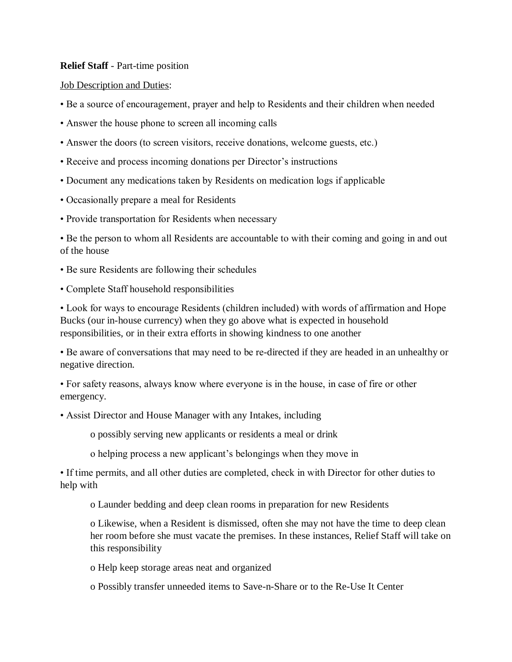## **Relief Staff** - Part-time position

## Job Description and Duties:

- Be a source of encouragement, prayer and help to Residents and their children when needed
- Answer the house phone to screen all incoming calls
- Answer the doors (to screen visitors, receive donations, welcome guests, etc.)
- Receive and process incoming donations per Director's instructions
- Document any medications taken by Residents on medication logs if applicable
- Occasionally prepare a meal for Residents
- Provide transportation for Residents when necessary

• Be the person to whom all Residents are accountable to with their coming and going in and out of the house

- Be sure Residents are following their schedules
- Complete Staff household responsibilities

• Look for ways to encourage Residents (children included) with words of affirmation and Hope Bucks (our in-house currency) when they go above what is expected in household responsibilities, or in their extra efforts in showing kindness to one another

• Be aware of conversations that may need to be re-directed if they are headed in an unhealthy or negative direction.

• For safety reasons, always know where everyone is in the house, in case of fire or other emergency.

• Assist Director and House Manager with any Intakes, including

o possibly serving new applicants or residents a meal or drink

o helping process a new applicant's belongings when they move in

• If time permits, and all other duties are completed, check in with Director for other duties to help with

o Launder bedding and deep clean rooms in preparation for new Residents

o Likewise, when a Resident is dismissed, often she may not have the time to deep clean her room before she must vacate the premises. In these instances, Relief Staff will take on this responsibility

o Help keep storage areas neat and organized

o Possibly transfer unneeded items to Save-n-Share or to the Re-Use It Center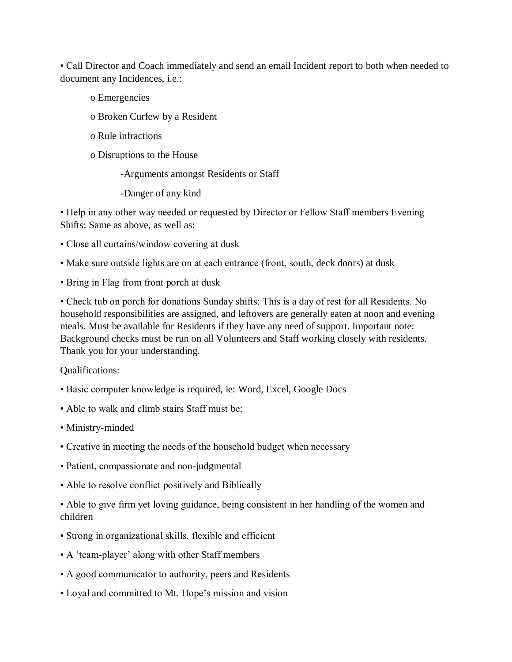• Call Director and Coach immediately and send an email Incident report to both when needed to document any Incidences, i.e.:

- o Emergencies
- o Broken Curfew by a Resident
- o Rule infractions
- o Disruptions to the House
	- -Arguments amongst Residents or Staff
	- -Danger of any kind

• Help in any other way needed or requested by Director or Fellow Staff members Evening Shifts: Same as above, as well as:

- Close all curtains/window covering at dusk
- Make sure outside lights are on at each entrance (front, south, deck doors) at dusk
- Bring in Flag from front porch at dusk

• Check tub on porch for donations Sunday shifts: This is a day of rest for all Residents. No household responsibilities are assigned, and leftovers are generally eaten at noon and evening meals. Must be available for Residents if they have any need of support. Important note: Background checks must be run on all Volunteers and Staff working closely with residents. Thank you for your understanding.

Qualifications:

- Basic computer knowledge is required, ie: Word, Excel, Google Docs
- Able to walk and climb stairs Staff must be:
- Ministry-minded
- Creative in meeting the needs of the household budget when necessary
- Patient, compassionate and non-judgmental
- Able to resolve conflict positively and Biblically
- Able to give firm yet loving guidance, being consistent in her handling of the women and children
- Strong in organizational skills, flexible and efficient
- A 'team-player' along with other Staff members
- A good communicator to authority, peers and Residents
- Loyal and committed to Mt. Hope's mission and vision